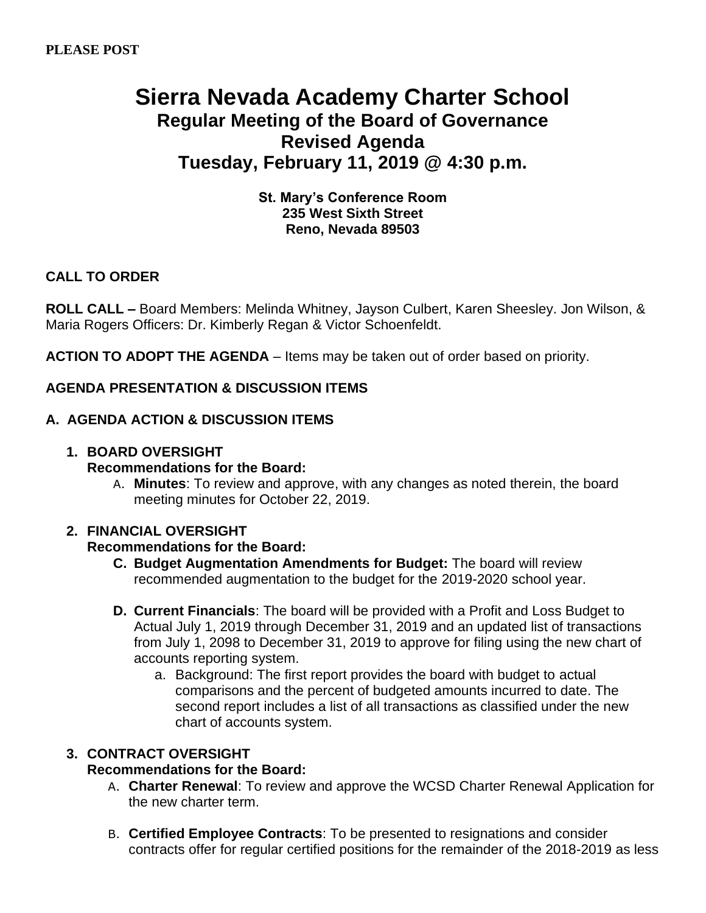# **Sierra Nevada Academy Charter School Regular Meeting of the Board of Governance Revised Agenda Tuesday, February 11, 2019 @ 4:30 p.m.**

## **St. Mary's Conference Room 235 West Sixth Street Reno, Nevada 89503**

## **CALL TO ORDER**

**ROLL CALL –** Board Members: Melinda Whitney, Jayson Culbert, Karen Sheesley. Jon Wilson, & Maria Rogers Officers: Dr. Kimberly Regan & Victor Schoenfeldt.

**ACTION TO ADOPT THE AGENDA** – Items may be taken out of order based on priority.

## **AGENDA PRESENTATION & DISCUSSION ITEMS**

## **A. AGENDA ACTION & DISCUSSION ITEMS**

## **1. BOARD OVERSIGHT**

## **Recommendations for the Board:**

A. **Minutes**: To review and approve, with any changes as noted therein, the board meeting minutes for October 22, 2019.

## **2. FINANCIAL OVERSIGHT**

## **Recommendations for the Board:**

- **C. Budget Augmentation Amendments for Budget:** The board will review recommended augmentation to the budget for the 2019-2020 school year.
- **D. Current Financials**: The board will be provided with a Profit and Loss Budget to Actual July 1, 2019 through December 31, 2019 and an updated list of transactions from July 1, 2098 to December 31, 2019 to approve for filing using the new chart of accounts reporting system.
	- a. Background: The first report provides the board with budget to actual comparisons and the percent of budgeted amounts incurred to date. The second report includes a list of all transactions as classified under the new chart of accounts system.

## **3. CONTRACT OVERSIGHT**

## **Recommendations for the Board:**

- A. **Charter Renewal**: To review and approve the WCSD Charter Renewal Application for the new charter term.
- B. **Certified Employee Contracts**: To be presented to resignations and consider contracts offer for regular certified positions for the remainder of the 2018-2019 as less